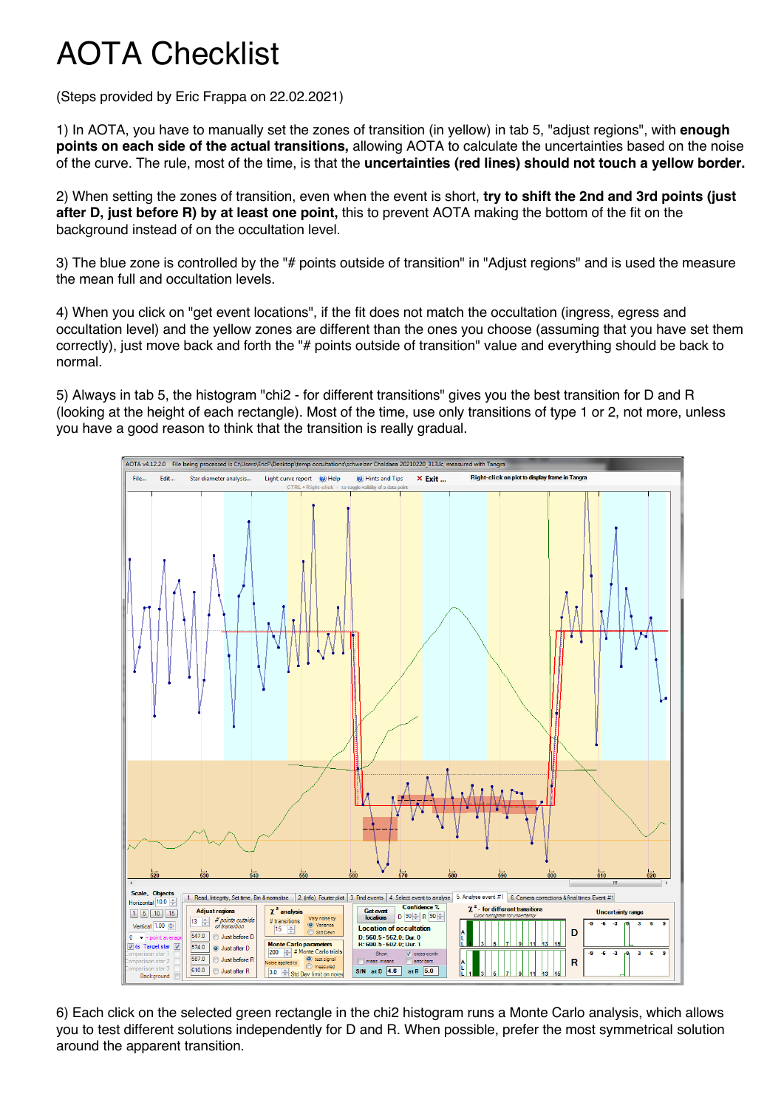## AOTA Checklist

(Steps provided by Eric Frappa on 22.02.2021)

1) In AOTA, you have to manually set the zones of transition (in yellow) in tab 5, "adjust regions", with **enough points on each side of the actual transitions,** allowing AOTA to calculate the uncertainties based on the noise of the curve. The rule, most of the time, is that the **uncertainties (red lines) should not touch a yellow border.**

2) When setting the zones of transition, even when the event is short, **try to shift the 2nd and 3rd points (just after D, just before R) by at least one point,** this to prevent AOTA making the bottom of the fit on the background instead of on the occultation level.

3) The blue zone is controlled by the "# points outside of transition" in "Adjust regions" and is used the measure the mean full and occultation levels.

4) When you click on "get event locations", if the fit does not match the occultation (ingress, egress and occultation level) and the yellow zones are different than the ones you choose (assuming that you have set them correctly), just move back and forth the "# points outside of transition" value and everything should be back to normal.

5) Always in tab 5, the histogram "chi2 - for different transitions" gives you the best transition for D and R (looking at the height of each rectangle). Most of the time, use only transitions of type 1 or 2, not more, unless you have a good reason to think that the transition is really gradual.



6) Each click on the selected green rectangle in the chi2 histogram runs a Monte Carlo analysis, which allows you to test different solutions independently for D and R. When possible, prefer the most symmetrical solution around the apparent transition.